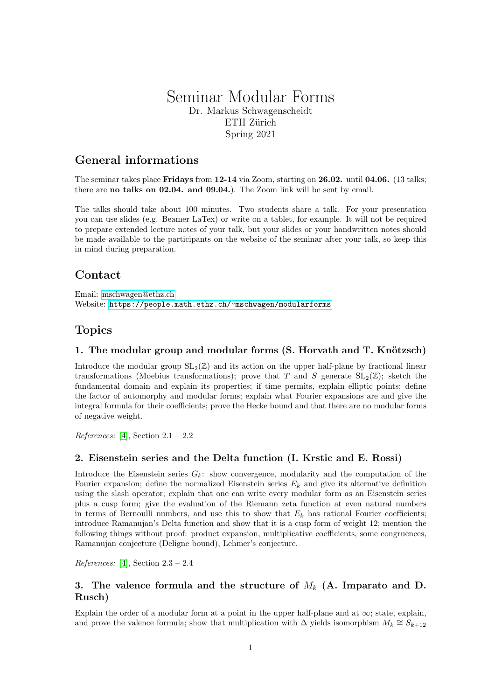# Seminar Modular Forms Dr. Markus Schwagenscheidt ETH Zürich Spring 2021

# General informations

The seminar takes place **Fridays** from 12-14 via Zoom, starting on 26.02. until 04.06. (13 talks; there are no talks on 02.04. and 09.04.). The Zoom link will be sent by email.

The talks should take about 100 minutes. Two students share a talk. For your presentation you can use slides (e.g. Beamer LaTex) or write on a tablet, for example. It will not be required to prepare extended lecture notes of your talk, but your slides or your handwritten notes should be made available to the participants on the website of the seminar after your talk, so keep this in mind during preparation.

# **Contact**

Email: [mschwagen@ethz.ch](mailto:mschwagen@ethz.ch) Website: <https://people.math.ethz.ch/~mschwagen/modularforms>

# Topics

### 1. The modular group and modular forms (S. Horvath and T. Knötzsch)

Introduce the modular group  $SL_2(\mathbb{Z})$  and its action on the upper half-plane by fractional linear transformations (Moebius transformations); prove that T and S generate  $SL_2(\mathbb{Z})$ ; sketch the fundamental domain and explain its properties; if time permits, explain elliptic points; define the factor of automorphy and modular forms; explain what Fourier expansions are and give the integral formula for their coefficients; prove the Hecke bound and that there are no modular forms of negative weight.

References: [\[4\]](#page-3-0), Section  $2.1 - 2.2$ 

#### 2. Eisenstein series and the Delta function (I. Krstic and E. Rossi)

Introduce the Eisenstein series  $G_k$ : show convergence, modularity and the computation of the Fourier expansion; define the normalized Eisenstein series  $E_k$  and give its alternative definition using the slash operator; explain that one can write every modular form as an Eisenstein series plus a cusp form; give the evaluation of the Riemann zeta function at even natural numbers in terms of Bernoulli numbers, and use this to show that  $E_k$  has rational Fourier coefficients; introduce Ramanujan's Delta function and show that it is a cusp form of weight 12; mention the following things without proof: product expansion, multiplicative coefficients, some congruences, Ramanujan conjecture (Deligne bound), Lehmer's conjecture.

References: [\[4\]](#page-3-0), Section  $2.3 - 2.4$ 

## 3. The valence formula and the structure of  $M_k$  (A. Imparato and D. Rusch)

Explain the order of a modular form at a point in the upper half-plane and at  $\infty$ ; state, explain, and prove the valence formula; show that multiplication with  $\Delta$  yields isomorphism  $M_k \cong S_{k+12}$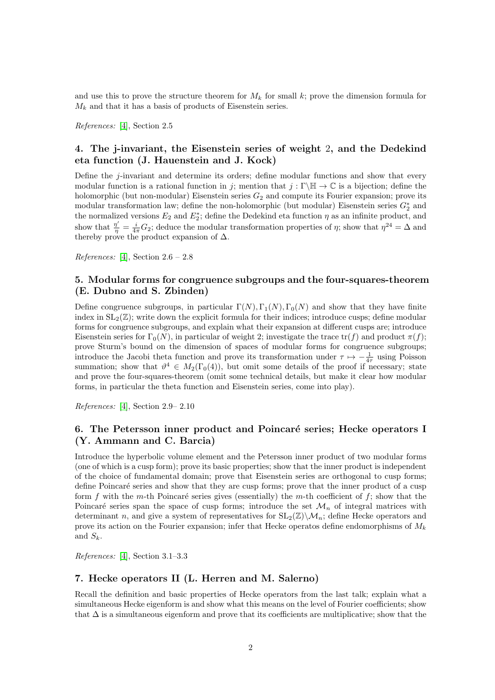and use this to prove the structure theorem for  $M_k$  for small k; prove the dimension formula for  $M_k$  and that it has a basis of products of Eisenstein series.

References: [\[4\]](#page-3-0), Section 2.5

## 4. The j-invariant, the Eisenstein series of weight 2, and the Dedekind eta function (J. Hauenstein and J. Kock)

Define the j-invariant and determine its orders; define modular functions and show that every modular function is a rational function in j; mention that  $j : \Gamma \backslash \mathbb{H} \to \mathbb{C}$  is a bijection; define the holomorphic (but non-modular) Eisenstein series  $G_2$  and compute its Fourier expansion; prove its modular transformation law; define the non-holomorphic (but modular) Eisenstein series  $G_2^*$  and the normalized versions  $E_2$  and  $E_2^*$ ; define the Dedekind eta function  $\eta$  as an infinite product, and show that  $\frac{\eta'}{\eta} = \frac{i}{4\pi} G_2$ ; deduce the modular transformation properties of  $\eta$ ; show that  $\eta^{24} = \Delta$  and thereby prove the product expansion of  $\Delta$ .

References: [\[4\]](#page-3-0), Section  $2.6 - 2.8$ 

### 5. Modular forms for congruence subgroups and the four-squares-theorem (E. Dubno and S. Zbinden)

Define congruence subgroups, in particular  $\Gamma(N)$ ,  $\Gamma_1(N)$ ,  $\Gamma_0(N)$  and show that they have finite index in  $SL_2(\mathbb{Z})$ ; write down the explicit formula for their indices; introduce cusps; define modular forms for congruence subgroups, and explain what their expansion at different cusps are; introduce Eisenstein series for  $\Gamma_0(N)$ , in particular of weight 2; investigate the trace  $\text{tr}(f)$  and product  $\pi(f)$ ; prove Sturm's bound on the dimension of spaces of modular forms for congruence subgroups; introduce the Jacobi theta function and prove its transformation under  $\tau \mapsto -\frac{1}{4\tau}$  using Poisson summation; show that  $\vartheta^4 \in M_2(\Gamma_0(4))$ , but omit some details of the proof if necessary; state and prove the four-squares-theorem (omit some technical details, but make it clear how modular forms, in particular the theta function and Eisenstein series, come into play).

References: [\[4\]](#page-3-0), Section 2.9– 2.10

## 6. The Petersson inner product and Poincaré series; Hecke operators I (Y. Ammann and C. Barcia)

Introduce the hyperbolic volume element and the Petersson inner product of two modular forms (one of which is a cusp form); prove its basic properties; show that the inner product is independent of the choice of fundamental domain; prove that Eisenstein series are orthogonal to cusp forms; define Poincaré series and show that they are cusp forms; prove that the inner product of a cusp form f with the m-th Poincaré series gives (essentially) the m-th coefficient of f; show that the Poincaré series span the space of cusp forms; introduce the set  $\mathcal{M}_n$  of integral matrices with determinant n, and give a system of representatives for  $SL_2(\mathbb{Z})\backslash \mathcal{M}_n$ ; define Hecke operators and prove its action on the Fourier expansion; infer that Hecke operatos define endomorphisms of  $M_k$ and  $S_k$ .

References: [\[4\]](#page-3-0), Section 3.1–3.3

#### 7. Hecke operators II (L. Herren and M. Salerno)

Recall the definition and basic properties of Hecke operators from the last talk; explain what a simultaneous Hecke eigenform is and show what this means on the level of Fourier coefficients; show that ∆ is a simultaneous eigenform and prove that its coefficients are multiplicative; show that the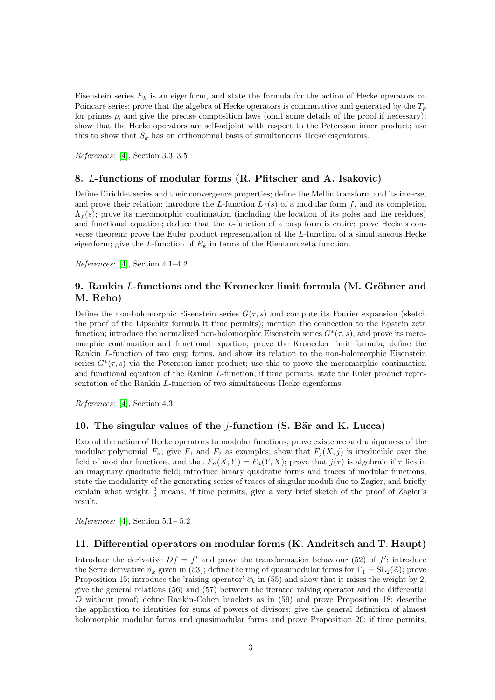Eisenstein series  $E_k$  is an eigenform, and state the formula for the action of Hecke operators on Poincaré series; prove that the algebra of Hecke operators is commutative and generated by the  $T_p$ for primes  $p$ , and give the precise composition laws (omit some details of the proof if necessary); show that the Hecke operators are self-adjoint with respect to the Petersson inner product; use this to show that  $S_k$  has an orthonormal basis of simultaneous Hecke eigenforms.

References: [\[4\]](#page-3-0), Section 3.3–3.5

### 8. L-functions of modular forms (R. Pfitscher and A. Isakovic)

Define Dirichlet series and their convergence properties; define the Mellin transform and its inverse, and prove their relation; introduce the L-function  $L_f(s)$  of a modular form f, and its completion  $\Lambda_f(s)$ ; prove its meromorphic continuation (including the location of its poles and the residues) and functional equation; deduce that the L-function of a cusp form is entire; prove Hecke's converse theorem; prove the Euler product representation of the L-function of a simultaneous Hecke eigenform; give the L-function of  $E_k$  in terms of the Riemann zeta function.

References: [\[4\]](#page-3-0), Section 4.1–4.2

### 9. Rankin  $L$ -functions and the Kronecker limit formula  $(M. G$ röbner and M. Reho)

Define the non-holomorphic Eisenstein series  $G(\tau, s)$  and compute its Fourier expansion (sketch the proof of the Lipschitz formula it time permits); mention the connection to the Epstein zeta function; introduce the normalized non-holomorphic Eisenstein series  $G^*(\tau, s)$ , and prove its meromorphic continuation and functional equation; prove the Kronecker limit formula; define the Rankin L-function of two cusp forms, and show its relation to the non-holomorphic Eisenstein series  $G^*(\tau, s)$  via the Petersson inner product; use this to prove the meromorphic continuation and functional equation of the Rankin L-function; if time permits, state the Euler product representation of the Rankin L-function of two simultaneous Hecke eigenforms.

References: [\[4\]](#page-3-0), Section 4.3

#### 10. The singular values of the *j*-function (S. Bär and K. Lucca)

Extend the action of Hecke operators to modular functions; prove existence and uniqueness of the modular polynomial  $F_n$ ; give  $F_1$  and  $F_2$  as examples; show that  $F_i(X, j)$  is irreducible over the field of modular functions, and that  $F_n(X, Y) = F_n(Y, X)$ ; prove that  $j(\tau)$  is algebraic if  $\tau$  lies in an imaginary quadratic field; introduce binary quadratic forms and traces of modular functions; state the modularity of the generating series of traces of singular moduli due to Zagier, and briefly explain what weight  $\frac{3}{2}$  means; if time permits, give a very brief sketch of the proof of Zagier's result.

References: [\[4\]](#page-3-0), Section 5.1– 5.2

#### 11. Differential operators on modular forms (K. Andritsch and T. Haupt)

Introduce the derivative  $Df = f'$  and prove the transformation behaviour (52) of f'; introduce the Serre derivative  $\vartheta_k$  given in (53); define the ring of quasimodular forms for  $\Gamma_1 = SL_2(\mathbb{Z})$ ; prove Proposition 15; introduce the 'raising operator'  $\partial_k$  in (55) and show that it raises the weight by 2; give the general relations (56) and (57) between the iterated raising operator and the differential D without proof; define Rankin-Cohen brackets as in (59) and prove Proposition 18; describe the application to identities for sums of powers of divisors; give the general definition of almost holomorphic modular forms and quasimodular forms and prove Proposition 20; if time permits,